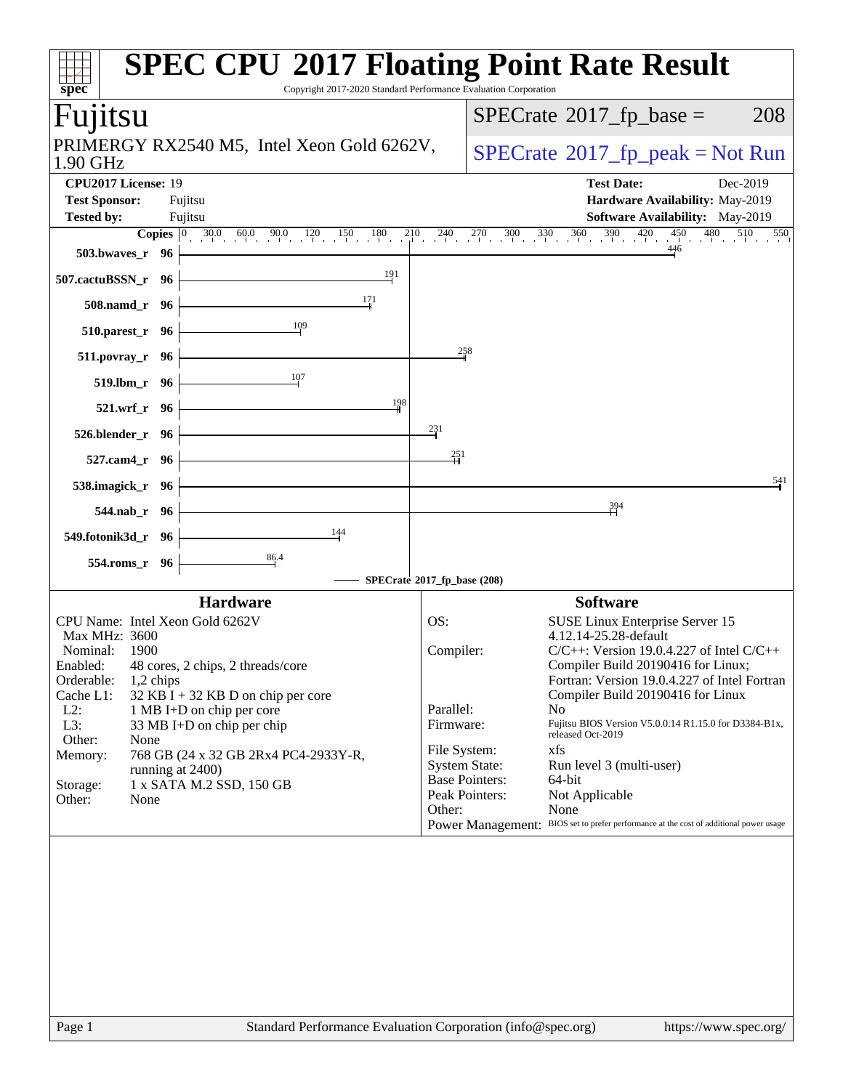| $spec^*$                                    | <b>SPEC CPU®2017 Floating Point Rate Result</b><br>Copyright 2017-2020 Standard Performance Evaluation Corporation                                                                                                                             |                 |                       |                                                                                                |     |
|---------------------------------------------|------------------------------------------------------------------------------------------------------------------------------------------------------------------------------------------------------------------------------------------------|-----------------|-----------------------|------------------------------------------------------------------------------------------------|-----|
| Fujitsu                                     |                                                                                                                                                                                                                                                |                 |                       | $SPECTate$ <sup>®</sup> 2017_fp_base =                                                         | 208 |
| 1.90 GHz                                    | PRIMERGY RX2540 M5, Intel Xeon Gold 6262V,                                                                                                                                                                                                     |                 |                       | $SPECrate^{\circ}2017rfp peak = Not Run$                                                       |     |
| CPU2017 License: 19<br><b>Test Sponsor:</b> | Fujitsu                                                                                                                                                                                                                                        |                 |                       | <b>Test Date:</b><br>Dec-2019<br>Hardware Availability: May-2019                               |     |
| <b>Tested by:</b>                           | Fujitsu                                                                                                                                                                                                                                        |                 |                       | Software Availability: May-2019                                                                |     |
| 503.bwaves_r 96                             | <b>Copies</b> $\begin{bmatrix} 0 & 30.0 & 60.0 & 90.0 & 120 \\ 1 & 0 & 0 & 0 & 120 \end{bmatrix}$ $\begin{bmatrix} 180 & 210 & 240 & 270 & 300 & 330 & 360 & 390 & 420 & 450 & 480 & 510 & 550 \\ 1 & 0 & 0 & 0 & 0 & 0 & 0 & 0 \end{bmatrix}$ |                 |                       | 446                                                                                            |     |
| 507.cactuBSSN_r 96                          | 191                                                                                                                                                                                                                                            |                 |                       |                                                                                                |     |
| 508.namd_r 96                               | 171                                                                                                                                                                                                                                            |                 |                       |                                                                                                |     |
| 510.parest_r 96                             | 109                                                                                                                                                                                                                                            |                 | 258                   |                                                                                                |     |
| 511.povray_r 96                             | 107                                                                                                                                                                                                                                            |                 |                       |                                                                                                |     |
| 519.lbm_r 96<br>521.wrf_r 96                | 198                                                                                                                                                                                                                                            |                 |                       |                                                                                                |     |
| 526.blender_r 96                            |                                                                                                                                                                                                                                                | 231             |                       |                                                                                                |     |
| 527.cam4_r 96                               |                                                                                                                                                                                                                                                | $\frac{251}{5}$ |                       |                                                                                                |     |
| 538.imagick_r 96                            |                                                                                                                                                                                                                                                |                 |                       |                                                                                                | 541 |
| 544.nab_r 96                                |                                                                                                                                                                                                                                                |                 |                       | 394                                                                                            |     |
| 549.fotonik3d_r 96                          | 144                                                                                                                                                                                                                                            |                 |                       |                                                                                                |     |
| 554.roms_r 96                               | 86.4                                                                                                                                                                                                                                           |                 |                       |                                                                                                |     |
|                                             | SPECrate®2017_fp_base (208)                                                                                                                                                                                                                    |                 |                       |                                                                                                |     |
|                                             | <b>Hardware</b>                                                                                                                                                                                                                                |                 |                       | <b>Software</b>                                                                                |     |
|                                             | CPU Name: Intel Xeon Gold 6262V                                                                                                                                                                                                                | OS:             |                       | SUSE Linux Enterprise Server 15                                                                |     |
| Max MHz: 3600<br>Nominal: 1900              |                                                                                                                                                                                                                                                | Compiler:       |                       | 4.12.14-25.28-default<br>$C/C++$ : Version 19.0.4.227 of Intel $C/C++$                         |     |
|                                             | Enabled: 48 cores, 2 chips, 2 threads/core                                                                                                                                                                                                     |                 |                       | Compiler Build 20190416 for Linux;                                                             |     |
| Orderable:<br>1,2 chips                     |                                                                                                                                                                                                                                                |                 |                       | Fortran: Version 19.0.4.227 of Intel Fortran                                                   |     |
| Cache L1:                                   | $32$ KB I + 32 KB D on chip per core                                                                                                                                                                                                           |                 |                       | Compiler Build 20190416 for Linux                                                              |     |
| $L2$ :                                      | 1 MB I+D on chip per core                                                                                                                                                                                                                      | Parallel:       | N <sub>o</sub>        |                                                                                                |     |
| L3:                                         | 33 MB I+D on chip per chip                                                                                                                                                                                                                     | Firmware:       |                       | Fujitsu BIOS Version V5.0.0.14 R1.15.0 for D3384-B1x,<br>released Oct-2019                     |     |
| Other:<br>None<br>Memory:                   | 768 GB (24 x 32 GB 2Rx4 PC4-2933Y-R,                                                                                                                                                                                                           | File System:    | xfs                   |                                                                                                |     |
|                                             | running at 2400)                                                                                                                                                                                                                               |                 | <b>System State:</b>  | Run level 3 (multi-user)                                                                       |     |
| Storage:                                    | 1 x SATA M.2 SSD, 150 GB                                                                                                                                                                                                                       |                 | <b>Base Pointers:</b> | 64-bit                                                                                         |     |
| Other:<br>None                              |                                                                                                                                                                                                                                                |                 | Peak Pointers:        | Not Applicable                                                                                 |     |
|                                             |                                                                                                                                                                                                                                                | Other:          |                       | None<br>Power Management: BIOS set to prefer performance at the cost of additional power usage |     |
|                                             |                                                                                                                                                                                                                                                |                 |                       |                                                                                                |     |
|                                             |                                                                                                                                                                                                                                                |                 |                       |                                                                                                |     |
|                                             |                                                                                                                                                                                                                                                |                 |                       |                                                                                                |     |
|                                             |                                                                                                                                                                                                                                                |                 |                       |                                                                                                |     |
|                                             |                                                                                                                                                                                                                                                |                 |                       |                                                                                                |     |
|                                             |                                                                                                                                                                                                                                                |                 |                       |                                                                                                |     |
|                                             |                                                                                                                                                                                                                                                |                 |                       |                                                                                                |     |
|                                             |                                                                                                                                                                                                                                                |                 |                       |                                                                                                |     |
|                                             |                                                                                                                                                                                                                                                |                 |                       |                                                                                                |     |
|                                             |                                                                                                                                                                                                                                                |                 |                       |                                                                                                |     |
| Page 1                                      | Standard Performance Evaluation Corporation (info@spec.org)                                                                                                                                                                                    |                 |                       | https://www.spec.org/                                                                          |     |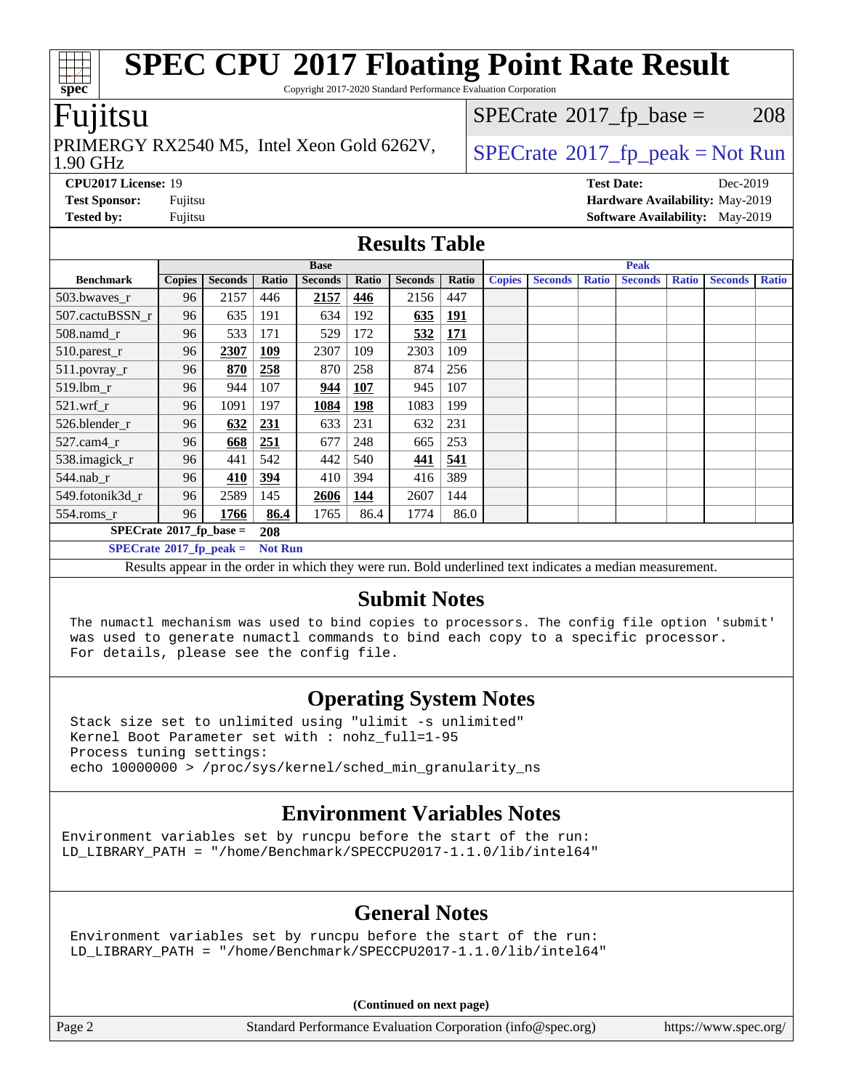Copyright 2017-2020 Standard Performance Evaluation Corporation

### Fujitsu

1.90 GHz PRIMERGY RX2540 M5, Intel Xeon Gold 6262V,  $\big|$  [SPECrate](http://www.spec.org/auto/cpu2017/Docs/result-fields.html#SPECrate2017fppeak) 2017 fp peak = Not Run

 $SPECTate@2017_fp\_base = 208$ 

**[CPU2017 License:](http://www.spec.org/auto/cpu2017/Docs/result-fields.html#CPU2017License)** 19 **[Test Date:](http://www.spec.org/auto/cpu2017/Docs/result-fields.html#TestDate)** Dec-2019 **[Test Sponsor:](http://www.spec.org/auto/cpu2017/Docs/result-fields.html#TestSponsor)** Fujitsu **[Hardware Availability:](http://www.spec.org/auto/cpu2017/Docs/result-fields.html#HardwareAvailability)** May-2019 **[Tested by:](http://www.spec.org/auto/cpu2017/Docs/result-fields.html#Testedby)** Fujitsu **Fujitsu <b>[Software Availability:](http://www.spec.org/auto/cpu2017/Docs/result-fields.html#SoftwareAvailability)** May-2019

#### **[Results Table](http://www.spec.org/auto/cpu2017/Docs/result-fields.html#ResultsTable)**

|                                   | <b>Base</b>   |                |                |                |            |                | <b>Peak</b> |               |                |              |                |              |                |              |
|-----------------------------------|---------------|----------------|----------------|----------------|------------|----------------|-------------|---------------|----------------|--------------|----------------|--------------|----------------|--------------|
| <b>Benchmark</b>                  | <b>Copies</b> | <b>Seconds</b> | Ratio          | <b>Seconds</b> | Ratio      | <b>Seconds</b> | Ratio       | <b>Copies</b> | <b>Seconds</b> | <b>Ratio</b> | <b>Seconds</b> | <b>Ratio</b> | <b>Seconds</b> | <b>Ratio</b> |
| 503.bwaves_r                      | 96            | 2157           | 446            | 2157           | 446        | 2156           | 447         |               |                |              |                |              |                |              |
| 507.cactuBSSN r                   | 96            | 635            | 191            | 634            | 192        | 635            | <u>191</u>  |               |                |              |                |              |                |              |
| $508$ .namd $r$                   | 96            | 533            | 171            | 529            | 172        | 532            | <b>171</b>  |               |                |              |                |              |                |              |
| 510.parest_r                      | 96            | 2307           | <b>109</b>     | 2307           | 109        | 2303           | 109         |               |                |              |                |              |                |              |
| 511.povray_r                      | 96            | 870            | 258            | 870            | 258        | 874            | 256         |               |                |              |                |              |                |              |
| 519.lbm r                         | 96            | 944            | 107            | 944            | 107        | 945            | 107         |               |                |              |                |              |                |              |
| $521$ .wrf r                      | 96            | 1091           | 197            | 1084           | <b>198</b> | 1083           | 199         |               |                |              |                |              |                |              |
| 526.blender r                     | 96            | 632            | <u>231</u>     | 633            | 231        | 632            | 231         |               |                |              |                |              |                |              |
| $527$ .cam $4r$                   | 96            | 668            | 251            | 677            | 248        | 665            | 253         |               |                |              |                |              |                |              |
| 538.imagick_r                     | 96            | 441            | 542            | 442            | 540        | 441            | 541         |               |                |              |                |              |                |              |
| 544.nab r                         | 96            | 410            | 394            | 410            | 394        | 416            | 389         |               |                |              |                |              |                |              |
| 549.fotonik3d r                   | 96            | 2589           | 145            | 2606           | 144        | 2607           | 144         |               |                |              |                |              |                |              |
| $554$ .roms_r                     | 96            | 1766           | 86.4           | 1765           | 86.4       | 1774           | 86.0        |               |                |              |                |              |                |              |
| $SPECrate^{\circ}2017$ _fp_base = | 208           |                |                |                |            |                |             |               |                |              |                |              |                |              |
| $SPECrate^{\circ}2017$ fp peak =  |               |                | <b>Not Run</b> |                |            |                |             |               |                |              |                |              |                |              |

Results appear in the [order in which they were run.](http://www.spec.org/auto/cpu2017/Docs/result-fields.html#RunOrder) Bold underlined text [indicates a median measurement.](http://www.spec.org/auto/cpu2017/Docs/result-fields.html#Median)

### **[Submit Notes](http://www.spec.org/auto/cpu2017/Docs/result-fields.html#SubmitNotes)**

 The numactl mechanism was used to bind copies to processors. The config file option 'submit' was used to generate numactl commands to bind each copy to a specific processor. For details, please see the config file.

### **[Operating System Notes](http://www.spec.org/auto/cpu2017/Docs/result-fields.html#OperatingSystemNotes)**

 Stack size set to unlimited using "ulimit -s unlimited" Kernel Boot Parameter set with : nohz\_full=1-95 Process tuning settings: echo 10000000 > /proc/sys/kernel/sched\_min\_granularity\_ns

### **[Environment Variables Notes](http://www.spec.org/auto/cpu2017/Docs/result-fields.html#EnvironmentVariablesNotes)**

Environment variables set by runcpu before the start of the run: LD\_LIBRARY\_PATH = "/home/Benchmark/SPECCPU2017-1.1.0/lib/intel64"

### **[General Notes](http://www.spec.org/auto/cpu2017/Docs/result-fields.html#GeneralNotes)**

 Environment variables set by runcpu before the start of the run: LD\_LIBRARY\_PATH = "/home/Benchmark/SPECCPU2017-1.1.0/lib/intel64"

**(Continued on next page)**

Page 2 Standard Performance Evaluation Corporation [\(info@spec.org\)](mailto:info@spec.org) <https://www.spec.org/>

**[spec](http://www.spec.org/)**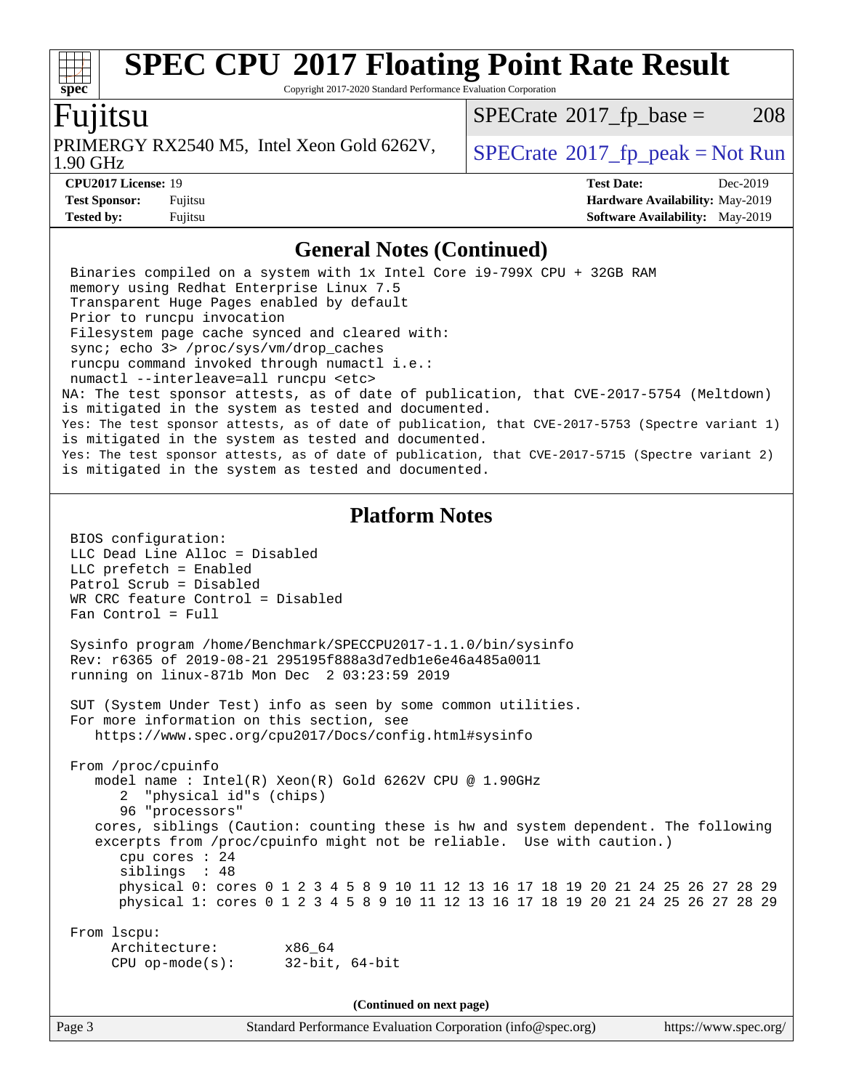Copyright 2017-2020 Standard Performance Evaluation Corporation

### Fujitsu

**[spec](http://www.spec.org/)**

1.90 GHz PRIMERGY RX2540 M5, Intel Xeon Gold 6262V,  $\big|$  [SPECrate](http://www.spec.org/auto/cpu2017/Docs/result-fields.html#SPECrate2017fppeak) 2017 fp peak = Not Run

 $SPECTate@2017_fp\_base = 208$ 

**[CPU2017 License:](http://www.spec.org/auto/cpu2017/Docs/result-fields.html#CPU2017License)** 19 **[Test Date:](http://www.spec.org/auto/cpu2017/Docs/result-fields.html#TestDate)** Dec-2019 **[Test Sponsor:](http://www.spec.org/auto/cpu2017/Docs/result-fields.html#TestSponsor)** Fujitsu **[Hardware Availability:](http://www.spec.org/auto/cpu2017/Docs/result-fields.html#HardwareAvailability)** May-2019 **[Tested by:](http://www.spec.org/auto/cpu2017/Docs/result-fields.html#Testedby)** Fujitsu **Fugital [Software Availability:](http://www.spec.org/auto/cpu2017/Docs/result-fields.html#SoftwareAvailability)** May-2019

#### **[General Notes \(Continued\)](http://www.spec.org/auto/cpu2017/Docs/result-fields.html#GeneralNotes)**

 Binaries compiled on a system with 1x Intel Core i9-799X CPU + 32GB RAM memory using Redhat Enterprise Linux 7.5 Transparent Huge Pages enabled by default Prior to runcpu invocation Filesystem page cache synced and cleared with: sync; echo 3> /proc/sys/vm/drop\_caches runcpu command invoked through numactl i.e.: numactl --interleave=all runcpu <etc> NA: The test sponsor attests, as of date of publication, that CVE-2017-5754 (Meltdown) is mitigated in the system as tested and documented. Yes: The test sponsor attests, as of date of publication, that CVE-2017-5753 (Spectre variant 1) is mitigated in the system as tested and documented. Yes: The test sponsor attests, as of date of publication, that CVE-2017-5715 (Spectre variant 2) is mitigated in the system as tested and documented. **[Platform Notes](http://www.spec.org/auto/cpu2017/Docs/result-fields.html#PlatformNotes)** BIOS configuration: LLC Dead Line Alloc = Disabled LLC prefetch = Enabled Patrol Scrub = Disabled WR CRC feature Control = Disabled Fan Control = Full Sysinfo program /home/Benchmark/SPECCPU2017-1.1.0/bin/sysinfo Rev: r6365 of 2019-08-21 295195f888a3d7edb1e6e46a485a0011 running on linux-871b Mon Dec 2 03:23:59 2019 SUT (System Under Test) info as seen by some common utilities. For more information on this section, see <https://www.spec.org/cpu2017/Docs/config.html#sysinfo> From /proc/cpuinfo model name : Intel(R) Xeon(R) Gold 6262V CPU @ 1.90GHz 2 "physical id"s (chips) 96 "processors" cores, siblings (Caution: counting these is hw and system dependent. The following excerpts from /proc/cpuinfo might not be reliable. Use with caution.) cpu cores : 24 siblings : 48 physical 0: cores 0 1 2 3 4 5 8 9 10 11 12 13 16 17 18 19 20 21 24 25 26 27 28 29 physical 1: cores 0 1 2 3 4 5 8 9 10 11 12 13 16 17 18 19 20 21 24 25 26 27 28 29 From lscpu: Architecture: x86\_64 CPU op-mode(s): 32-bit, 64-bit **(Continued on next page)**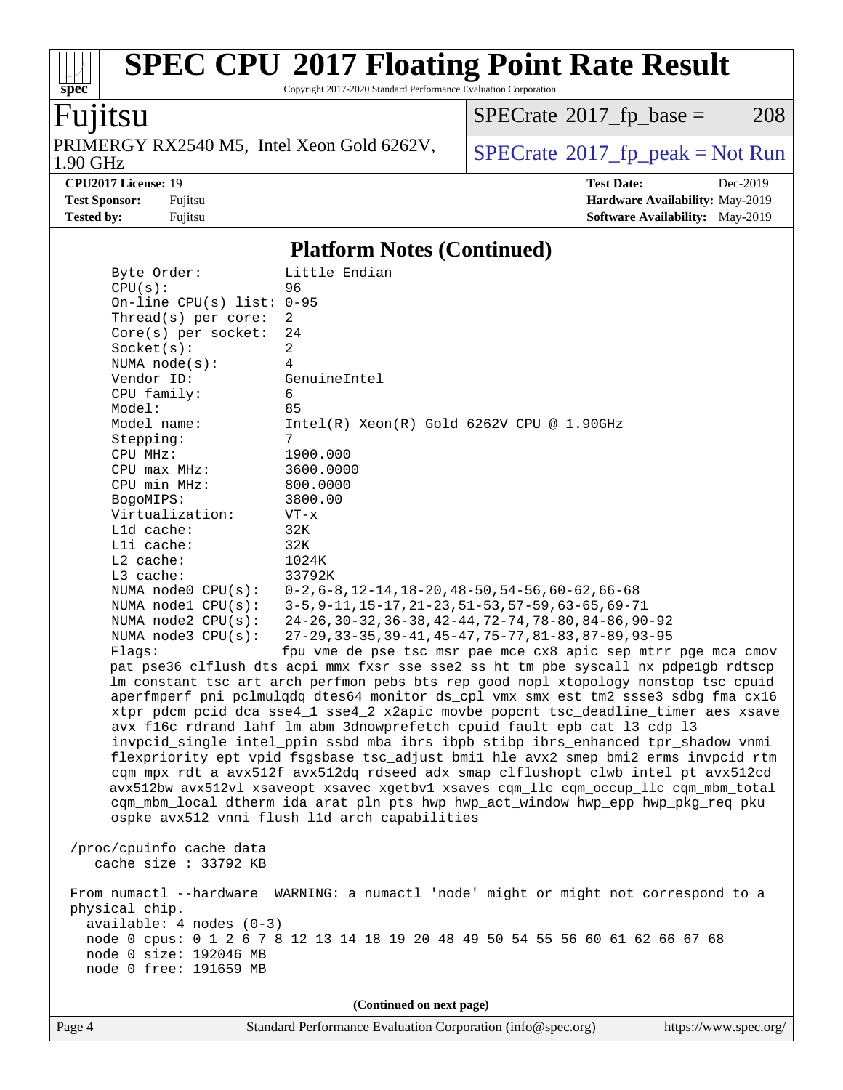Copyright 2017-2020 Standard Performance Evaluation Corporation

### Fujitsu

**[spec](http://www.spec.org/)**

 $\pm$ 

PRIMERGY RX2540 M5, Intel Xeon Gold 6262V,<br>1.90 GHz

 $SPECTate<sup>®</sup>2017_fp_peak = Not Run$  $SPECTate<sup>®</sup>2017_fp_peak = Not Run$  $SPECTate<sup>®</sup>2017_fp_peak = Not Run$  $SPECTate@2017_fp\_base = 208$ 

**[CPU2017 License:](http://www.spec.org/auto/cpu2017/Docs/result-fields.html#CPU2017License)** 19 **[Test Date:](http://www.spec.org/auto/cpu2017/Docs/result-fields.html#TestDate)** Dec-2019 **[Test Sponsor:](http://www.spec.org/auto/cpu2017/Docs/result-fields.html#TestSponsor)** Fujitsu **[Hardware Availability:](http://www.spec.org/auto/cpu2017/Docs/result-fields.html#HardwareAvailability)** May-2019 **[Tested by:](http://www.spec.org/auto/cpu2017/Docs/result-fields.html#Testedby)** Fujitsu **Fugital [Software Availability:](http://www.spec.org/auto/cpu2017/Docs/result-fields.html#SoftwareAvailability)** May-2019

### **[Platform Notes \(Continued\)](http://www.spec.org/auto/cpu2017/Docs/result-fields.html#PlatformNotes)**

| Byte Order:                   | Little Endian                                                                        |
|-------------------------------|--------------------------------------------------------------------------------------|
| CPU(s):                       | 96                                                                                   |
| On-line CPU(s) list: $0-95$   |                                                                                      |
| Thread(s) per core:           | 2                                                                                    |
| $Core(s)$ per socket:         | 24                                                                                   |
| Socket(s):                    | $\overline{a}$                                                                       |
| NUMA $node(s):$               | 4                                                                                    |
| Vendor ID:                    | GenuineIntel                                                                         |
| CPU family:                   | 6                                                                                    |
| Model:                        | 85                                                                                   |
| Model name:                   | $Intel(R) Xeon(R) Gold 6262V CPU @ 1.90GHz$                                          |
| Stepping:                     | $7\phantom{.}$                                                                       |
| CPU MHz:                      | 1900.000                                                                             |
| CPU max MHz:                  | 3600.0000                                                                            |
| CPU min MHz:                  | 800.0000                                                                             |
| BogoMIPS:                     | 3800.00                                                                              |
| Virtualization:<br>Lld cache: | $VT - x$<br>32K                                                                      |
| Lli cache:                    | 32K                                                                                  |
| $L2$ cache:                   | 1024K                                                                                |
| L3 cache:                     | 33792K                                                                               |
| NUMA node0 CPU(s):            | $0-2, 6-8, 12-14, 18-20, 48-50, 54-56, 60-62, 66-68$                                 |
| NUMA $node1$ $CPU(s):$        | 3-5, 9-11, 15-17, 21-23, 51-53, 57-59, 63-65, 69-71                                  |
| NUMA $node2$ $CPU(s):$        | $24-26$ , $30-32$ , $36-38$ , $42-44$ , $72-74$ , $78-80$ , $84-86$ , $90-92$        |
| NUMA node3 CPU(s):            | 27-29, 33-35, 39-41, 45-47, 75-77, 81-83, 87-89, 93-95                               |
| Flaqs:                        | fpu vme de pse tsc msr pae mce cx8 apic sep mtrr pge mca cmov                        |
|                               | pat pse36 clflush dts acpi mmx fxsr sse sse2 ss ht tm pbe syscall nx pdpe1gb rdtscp  |
|                               | lm constant_tsc art arch_perfmon pebs bts rep_good nopl xtopology nonstop_tsc cpuid  |
|                               | aperfmperf pni pclmulqdq dtes64 monitor ds_cpl vmx smx est tm2 ssse3 sdbg fma cx16   |
|                               | xtpr pdcm pcid dca sse4_1 sse4_2 x2apic movbe popcnt tsc_deadline_timer aes xsave    |
|                               | avx f16c rdrand lahf_lm abm 3dnowprefetch cpuid_fault epb cat_13 cdp_13              |
|                               | invpcid_single intel_ppin ssbd mba ibrs ibpb stibp ibrs_enhanced tpr_shadow vnmi     |
|                               | flexpriority ept vpid fsgsbase tsc_adjust bmil hle avx2 smep bmi2 erms invpcid rtm   |
|                               | cqm mpx rdt_a avx512f avx512dq rdseed adx smap clflushopt clwb intel_pt avx512cd     |
|                               | avx512bw avx512vl xsaveopt xsavec xgetbvl xsaves cqm_llc cqm_occup_llc cqm_mbm_total |
|                               | cqm_mbm_local dtherm ida arat pln pts hwp hwp_act_window hwp_epp hwp_pkg_req pku     |
|                               | ospke avx512_vnni flush_l1d arch_capabilities                                        |
|                               |                                                                                      |
| /proc/cpuinfo cache data      |                                                                                      |
| cache size : 33792 KB         |                                                                                      |
|                               | From numactl --hardware WARNING: a numactl 'node' might or might not correspond to a |
| physical chip.                |                                                                                      |
| $available: 4 nodes (0-3)$    |                                                                                      |
|                               | node 0 cpus: 0 1 2 6 7 8 12 13 14 18 19 20 48 49 50 54 55 56 60 61 62 66 67 68       |
| node 0 size: 192046 MB        |                                                                                      |
| node 0 free: 191659 MB        |                                                                                      |
|                               |                                                                                      |
|                               | (Continued on next page)                                                             |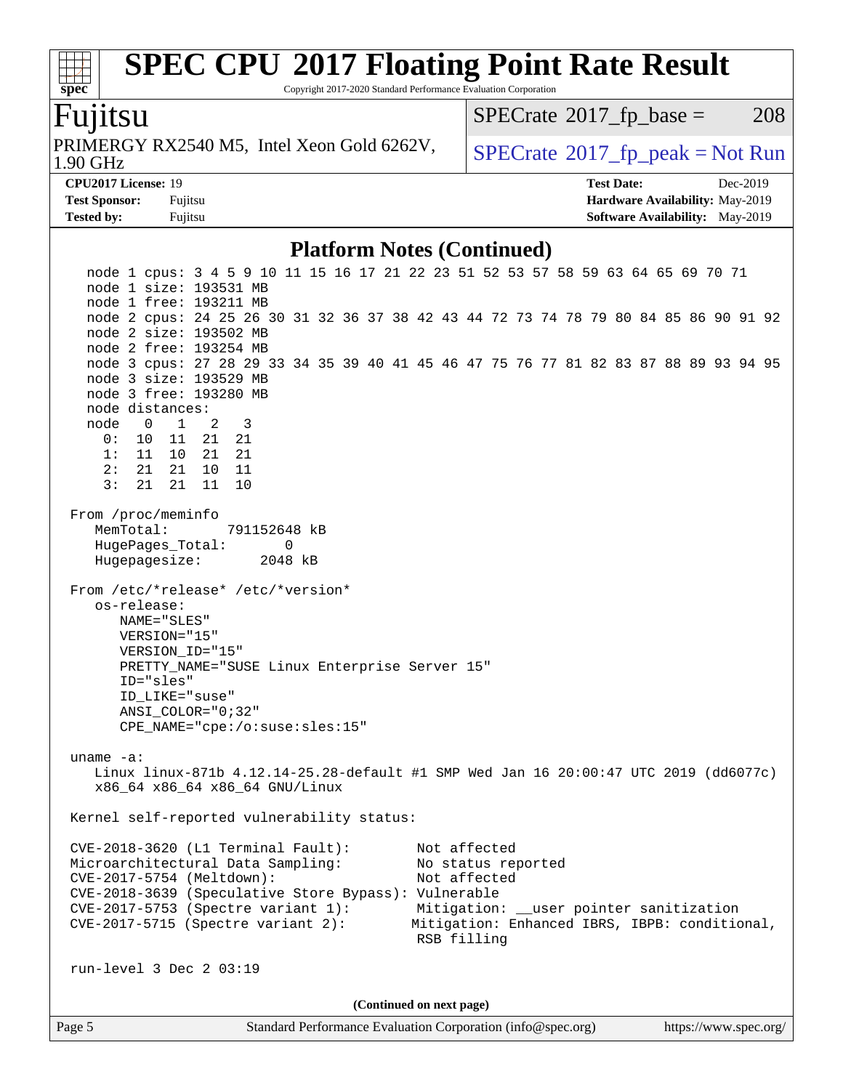Copyright 2017-2020 Standard Performance Evaluation Corporation

### Fujitsu

**[spec](http://www.spec.org/)**

1.90 GHz PRIMERGY RX2540 M5, Intel Xeon Gold 6262V,  $\big|$  [SPECrate](http://www.spec.org/auto/cpu2017/Docs/result-fields.html#SPECrate2017fppeak) 2017 fp peak = Not Run

 $SPECTate@2017_fp\_base = 208$ 

**[Test Sponsor:](http://www.spec.org/auto/cpu2017/Docs/result-fields.html#TestSponsor)** Fujitsu **[Hardware Availability:](http://www.spec.org/auto/cpu2017/Docs/result-fields.html#HardwareAvailability)** May-2019

**[CPU2017 License:](http://www.spec.org/auto/cpu2017/Docs/result-fields.html#CPU2017License)** 19 **[Test Date:](http://www.spec.org/auto/cpu2017/Docs/result-fields.html#TestDate)** Dec-2019

**[Platform Notes \(Continued\)](http://www.spec.org/auto/cpu2017/Docs/result-fields.html#PlatformNotes)**

**[Tested by:](http://www.spec.org/auto/cpu2017/Docs/result-fields.html#Testedby)** Fujitsu **Fugital [Software Availability:](http://www.spec.org/auto/cpu2017/Docs/result-fields.html#SoftwareAvailability)** May-2019

Page 5 Standard Performance Evaluation Corporation [\(info@spec.org\)](mailto:info@spec.org) <https://www.spec.org/> node 1 cpus: 3 4 5 9 10 11 15 16 17 21 22 23 51 52 53 57 58 59 63 64 65 69 70 71 node 1 size: 193531 MB node 1 free: 193211 MB node 2 cpus: 24 25 26 30 31 32 36 37 38 42 43 44 72 73 74 78 79 80 84 85 86 90 91 92 node 2 size: 193502 MB node 2 free: 193254 MB node 3 cpus: 27 28 29 33 34 35 39 40 41 45 46 47 75 76 77 81 82 83 87 88 89 93 94 95 node 3 size: 193529 MB node 3 free: 193280 MB node distances: node 0 1 2 3 0: 10 11 21 21 1: 11 10 21 21 2: 21 21 10 11 3: 21 21 11 10 From /proc/meminfo MemTotal: 791152648 kB HugePages\_Total: 0 Hugepagesize: 2048 kB From /etc/\*release\* /etc/\*version\* os-release: NAME="SLES" VERSION="15" VERSION\_ID="15" PRETTY\_NAME="SUSE Linux Enterprise Server 15" ID="sles" ID\_LIKE="suse" ANSI\_COLOR="0;32" CPE\_NAME="cpe:/o:suse:sles:15" uname -a: Linux linux-871b 4.12.14-25.28-default #1 SMP Wed Jan 16 20:00:47 UTC 2019 (dd6077c) x86\_64 x86\_64 x86\_64 GNU/Linux Kernel self-reported vulnerability status: CVE-2018-3620 (L1 Terminal Fault): Not affected Microarchitectural Data Sampling: No status reported CVE-2017-5754 (Meltdown): Not affected CVE-2018-3639 (Speculative Store Bypass): Vulnerable CVE-2017-5753 (Spectre variant 1): Mitigation: \_\_user pointer sanitization<br>CVE-2017-5715 (Spectre variant 2): Mitigation: Enhanced IBRS, IBPB: condition Mitigation: Enhanced IBRS, IBPB: conditional, RSB filling run-level 3 Dec 2 03:19 **(Continued on next page)**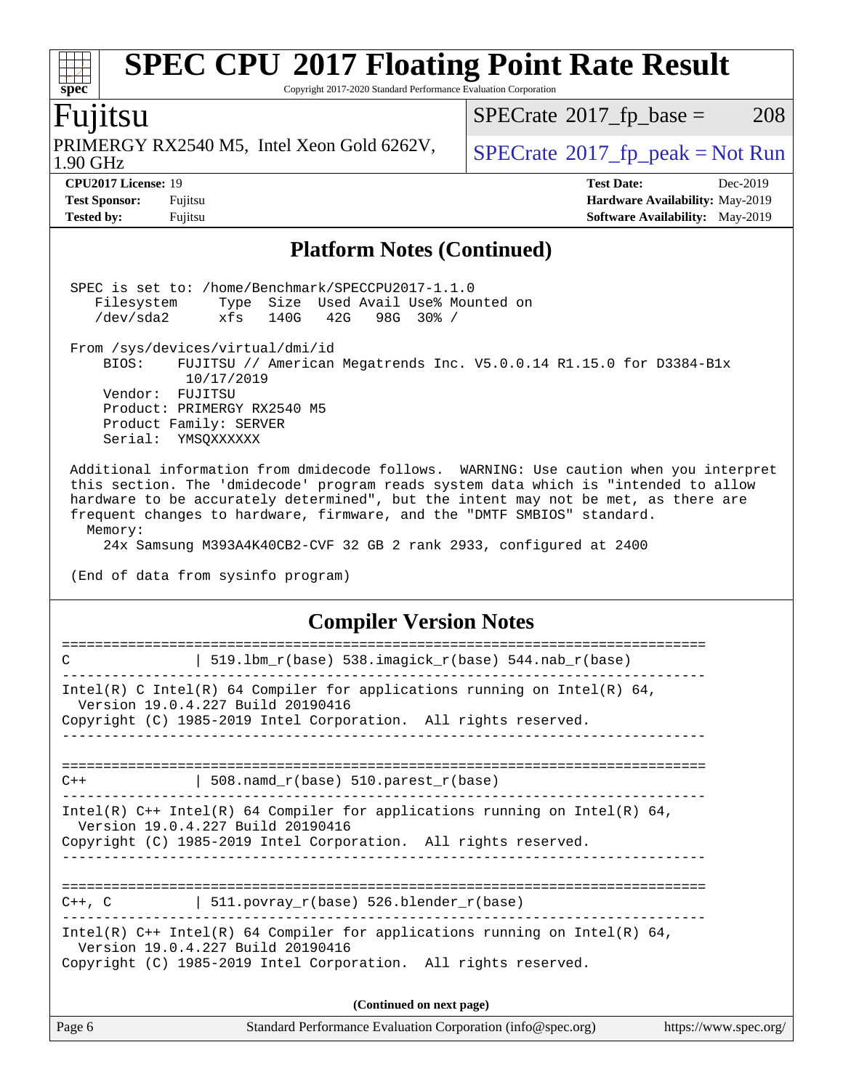#### **[SPEC CPU](http://www.spec.org/auto/cpu2017/Docs/result-fields.html#SPECCPU2017FloatingPointRateResult)[2017 Floating Point Rate Result](http://www.spec.org/auto/cpu2017/Docs/result-fields.html#SPECCPU2017FloatingPointRateResult)**  $\pm$ **[spec](http://www.spec.org/)** Copyright 2017-2020 Standard Performance Evaluation Corporation Fujitsu  $SPECTate$ <sup>®</sup>[2017\\_fp\\_base =](http://www.spec.org/auto/cpu2017/Docs/result-fields.html#SPECrate2017fpbase) 208 PRIMERGY RX2540 M5, Intel Xeon Gold 6262V,  $SPECrate^{\circ}2017_fp\_peak = Not Run$  $SPECrate^{\circ}2017_fp\_peak = Not Run$ 1.90 GHz

**[CPU2017 License:](http://www.spec.org/auto/cpu2017/Docs/result-fields.html#CPU2017License)** 19 **[Test Date:](http://www.spec.org/auto/cpu2017/Docs/result-fields.html#TestDate)** Dec-2019

**[Test Sponsor:](http://www.spec.org/auto/cpu2017/Docs/result-fields.html#TestSponsor)** Fujitsu **[Hardware Availability:](http://www.spec.org/auto/cpu2017/Docs/result-fields.html#HardwareAvailability)** May-2019 **[Tested by:](http://www.spec.org/auto/cpu2017/Docs/result-fields.html#Testedby)** Fujitsu **Fugital Example 2019 [Software Availability:](http://www.spec.org/auto/cpu2017/Docs/result-fields.html#SoftwareAvailability)** May-2019

#### **[Platform Notes \(Continued\)](http://www.spec.org/auto/cpu2017/Docs/result-fields.html#PlatformNotes)**

|                                                                          | SPEC is set to: /home/Benchmark/SPECCPU2017-1.1.0<br>Filesystem Type Size Used Avail Use% Mounted on<br>$\gamma$ dev/sda2 $\gamma$ xfs 140G 42G 98G 30% /                                                                                                                                                                                                                                                                                                  |
|--------------------------------------------------------------------------|------------------------------------------------------------------------------------------------------------------------------------------------------------------------------------------------------------------------------------------------------------------------------------------------------------------------------------------------------------------------------------------------------------------------------------------------------------|
| BIOS:<br>Vendor: FUJITSU<br>Product Family: SERVER<br>Serial: YMSQXXXXXX | From /sys/devices/virtual/dmi/id<br>FUJITSU // American Megatrends Inc. V5.0.0.14 R1.15.0 for D3384-Blx<br>10/17/2019<br>Product: PRIMERGY RX2540 M5                                                                                                                                                                                                                                                                                                       |
| Memory:                                                                  | Additional information from dmidecode follows. WARNING: Use caution when you interpret<br>this section. The 'dmidecode' program reads system data which is "intended to allow<br>hardware to be accurately determined", but the intent may not be met, as there are<br>frequent changes to hardware, firmware, and the "DMTF SMBIOS" standard.<br>24x Samsung M393A4K40CB2-CVF 32 GB 2 rank 2933, configured at 2400<br>(End of data from sysinfo program) |
|                                                                          | <b>Compiler Version Notes</b>                                                                                                                                                                                                                                                                                                                                                                                                                              |
| C                                                                        | 519.1bm_r(base) 538.imagick_r(base) 544.nab_r(base)                                                                                                                                                                                                                                                                                                                                                                                                        |
|                                                                          | Intel(R) C Intel(R) 64 Compiler for applications running on Intel(R) 64,<br>Version 19.0.4.227 Build 20190416<br>Copyright (C) 1985-2019 Intel Corporation. All rights reserved.                                                                                                                                                                                                                                                                           |
| C++                                                                      | $508.namd_r(base) 510.parest_r(base)$                                                                                                                                                                                                                                                                                                                                                                                                                      |
|                                                                          | Intel(R) $C++$ Intel(R) 64 Compiler for applications running on Intel(R) 64,<br>Version 19.0.4.227 Build 20190416<br>Copyright (C) 1985-2019 Intel Corporation. All rights reserved.                                                                                                                                                                                                                                                                       |
| $C++$ , $C$                                                              | 511.povray_r(base) 526.blender_r(base)                                                                                                                                                                                                                                                                                                                                                                                                                     |
|                                                                          | Intel(R) $C++$ Intel(R) 64 Compiler for applications running on Intel(R) 64,<br>Version 19.0.4.227 Build 20190416<br>Copyright (C) 1985-2019 Intel Corporation. All rights reserved.                                                                                                                                                                                                                                                                       |
|                                                                          | (Continued on next page)                                                                                                                                                                                                                                                                                                                                                                                                                                   |
| Page 6                                                                   | Standard Performance Evaluation Corporation (info@spec.org)<br>https://www.spec.org/                                                                                                                                                                                                                                                                                                                                                                       |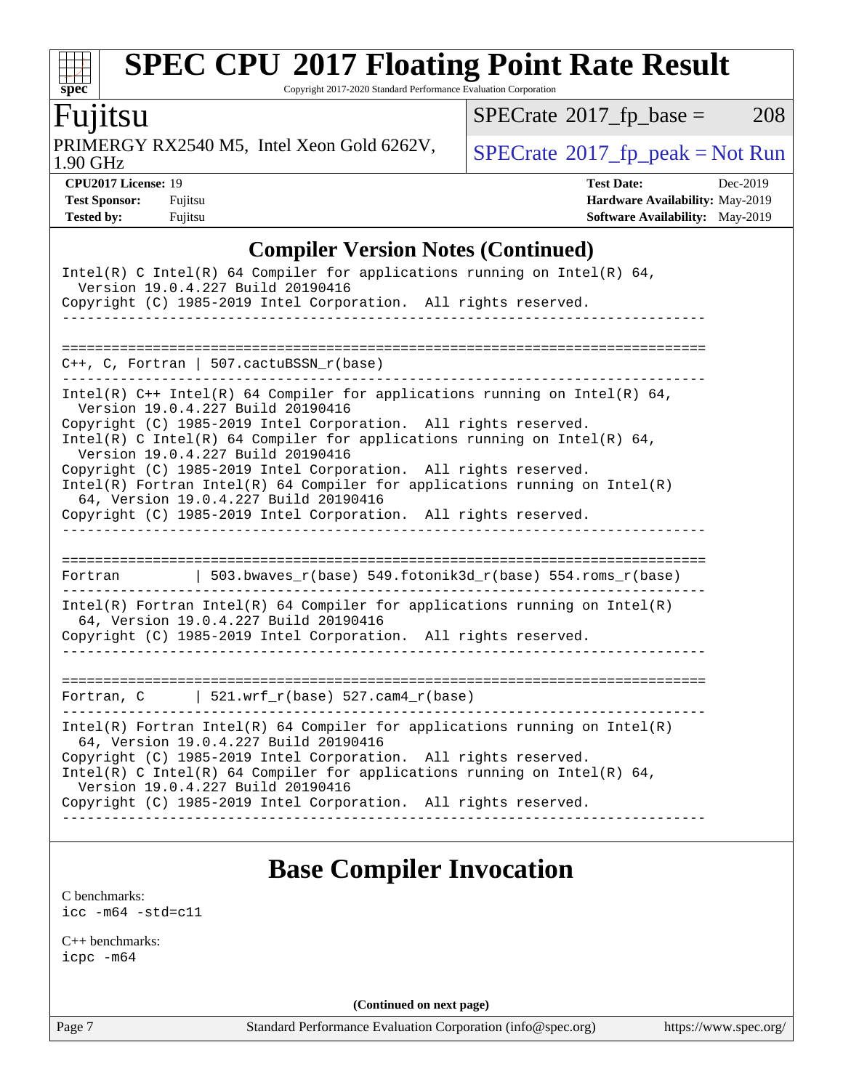Copyright 2017-2020 Standard Performance Evaluation Corporation

### Fujitsu

**[spec](http://www.spec.org/)**

 $+\ +$ 

1.90 GHz PRIMERGY RX2540 M5, Intel Xeon Gold 6262V,  $\big|$  [SPECrate](http://www.spec.org/auto/cpu2017/Docs/result-fields.html#SPECrate2017fppeak)®[2017\\_fp\\_peak = N](http://www.spec.org/auto/cpu2017/Docs/result-fields.html#SPECrate2017fppeak)ot Run

 $SPECTate@2017_fp\_base = 208$ 

**[CPU2017 License:](http://www.spec.org/auto/cpu2017/Docs/result-fields.html#CPU2017License)** 19 **[Test Date:](http://www.spec.org/auto/cpu2017/Docs/result-fields.html#TestDate)** Dec-2019 **[Test Sponsor:](http://www.spec.org/auto/cpu2017/Docs/result-fields.html#TestSponsor)** Fujitsu **[Hardware Availability:](http://www.spec.org/auto/cpu2017/Docs/result-fields.html#HardwareAvailability)** May-2019 **[Tested by:](http://www.spec.org/auto/cpu2017/Docs/result-fields.html#Testedby)** Fujitsu **Fugital [Software Availability:](http://www.spec.org/auto/cpu2017/Docs/result-fields.html#SoftwareAvailability)** May-2019

#### **[Compiler Version Notes \(Continued\)](http://www.spec.org/auto/cpu2017/Docs/result-fields.html#CompilerVersionNotes)**

| Intel(R) C Intel(R) 64 Compiler for applications running on Intel(R) 64,<br>Version 19.0.4.227 Build 20190416         |  |
|-----------------------------------------------------------------------------------------------------------------------|--|
| Copyright (C) 1985-2019 Intel Corporation. All rights reserved.                                                       |  |
|                                                                                                                       |  |
|                                                                                                                       |  |
| $C_{++}$ , C, Fortran   507.cactuBSSN $r(base)$                                                                       |  |
| Intel(R) $C++$ Intel(R) 64 Compiler for applications running on Intel(R) 64,<br>Version 19.0.4.227 Build 20190416     |  |
| Copyright (C) 1985-2019 Intel Corporation. All rights reserved.                                                       |  |
| Intel(R) C Intel(R) 64 Compiler for applications running on Intel(R) 64,<br>Version 19.0.4.227 Build 20190416         |  |
| Copyright (C) 1985-2019 Intel Corporation. All rights reserved.                                                       |  |
| Intel(R) Fortran Intel(R) 64 Compiler for applications running on $Intel(R)$<br>64, Version 19.0.4.227 Build 20190416 |  |
| Copyright (C) 1985-2019 Intel Corporation. All rights reserved.                                                       |  |
|                                                                                                                       |  |
|                                                                                                                       |  |
| Fortran 		   503.bwaves_r(base) 549.fotonik3d_r(base) 554.roms_r(base)                                                |  |
| $Intel(R)$ Fortran Intel(R) 64 Compiler for applications running on Intel(R)<br>64, Version 19.0.4.227 Build 20190416 |  |
| Copyright (C) 1985-2019 Intel Corporation. All rights reserved.                                                       |  |
| _ _ _ _ _ _ _ _ _ _ _ _ _ _ _ _                                                                                       |  |
|                                                                                                                       |  |
| Fortran, $C$   521.wrf_r(base) 527.cam4_r(base)                                                                       |  |
| $Intel(R)$ Fortran Intel(R) 64 Compiler for applications running on Intel(R)<br>64, Version 19.0.4.227 Build 20190416 |  |
| Copyright (C) 1985-2019 Intel Corporation. All rights reserved.                                                       |  |
| Intel(R) C Intel(R) 64 Compiler for applications running on Intel(R) 64,<br>Version 19.0.4.227 Build 20190416         |  |
| Copyright (C) 1985-2019 Intel Corporation. All rights reserved.                                                       |  |
|                                                                                                                       |  |

### **[Base Compiler Invocation](http://www.spec.org/auto/cpu2017/Docs/result-fields.html#BaseCompilerInvocation)**

[C benchmarks](http://www.spec.org/auto/cpu2017/Docs/result-fields.html#Cbenchmarks): [icc -m64 -std=c11](http://www.spec.org/cpu2017/results/res2020q1/cpu2017-20191223-20457.flags.html#user_CCbase_intel_icc_64bit_c11_33ee0cdaae7deeeab2a9725423ba97205ce30f63b9926c2519791662299b76a0318f32ddfffdc46587804de3178b4f9328c46fa7c2b0cd779d7a61945c91cd35)

[C++ benchmarks:](http://www.spec.org/auto/cpu2017/Docs/result-fields.html#CXXbenchmarks) [icpc -m64](http://www.spec.org/cpu2017/results/res2020q1/cpu2017-20191223-20457.flags.html#user_CXXbase_intel_icpc_64bit_4ecb2543ae3f1412ef961e0650ca070fec7b7afdcd6ed48761b84423119d1bf6bdf5cad15b44d48e7256388bc77273b966e5eb805aefd121eb22e9299b2ec9d9)

**(Continued on next page)**

Page 7 Standard Performance Evaluation Corporation [\(info@spec.org\)](mailto:info@spec.org) <https://www.spec.org/>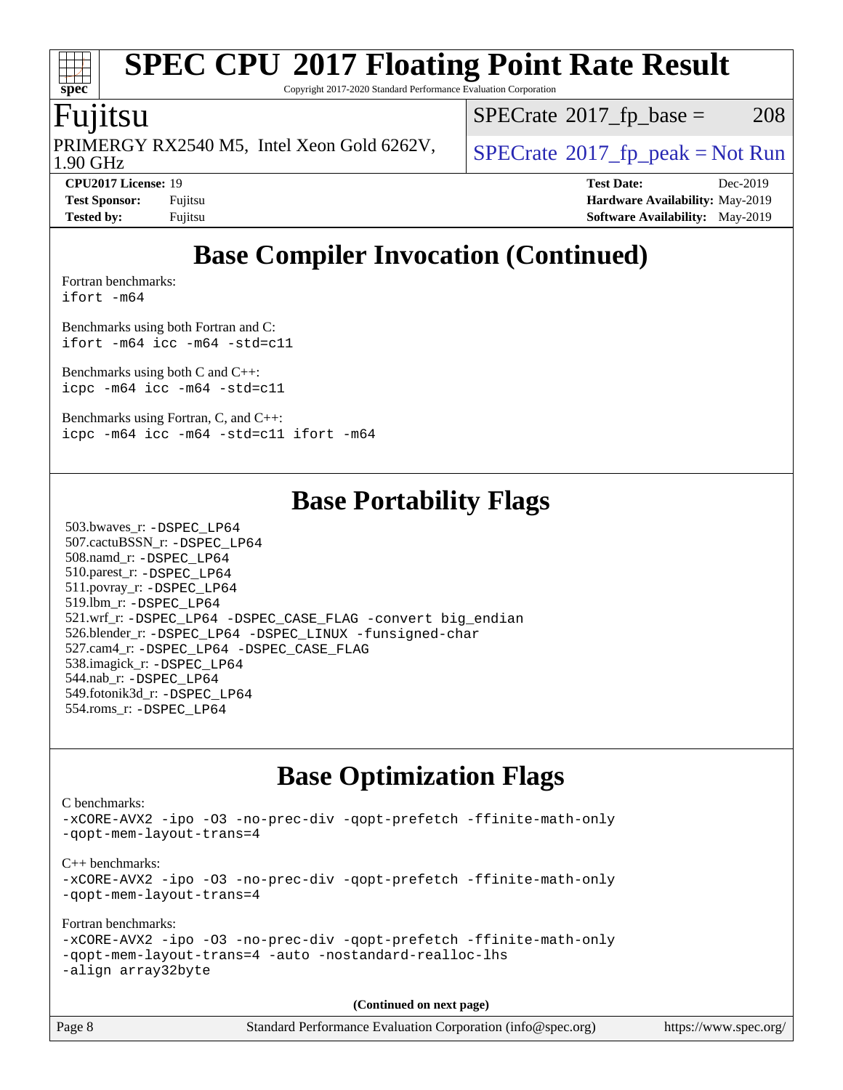Copyright 2017-2020 Standard Performance Evaluation Corporation

### Fujitsu

1.90 GHz PRIMERGY RX2540 M5, Intel Xeon Gold 6262V,  $\big|$  [SPECrate](http://www.spec.org/auto/cpu2017/Docs/result-fields.html#SPECrate2017fppeak) 2017 fp peak = Not Run

 $SPECTate@2017_fp\_base = 208$ 

**[spec](http://www.spec.org/)**

**[Tested by:](http://www.spec.org/auto/cpu2017/Docs/result-fields.html#Testedby)** Fujitsu **Fugital [Software Availability:](http://www.spec.org/auto/cpu2017/Docs/result-fields.html#SoftwareAvailability)** May-2019

**[CPU2017 License:](http://www.spec.org/auto/cpu2017/Docs/result-fields.html#CPU2017License)** 19 **[Test Date:](http://www.spec.org/auto/cpu2017/Docs/result-fields.html#TestDate)** Dec-2019 **[Test Sponsor:](http://www.spec.org/auto/cpu2017/Docs/result-fields.html#TestSponsor)** Fujitsu **[Hardware Availability:](http://www.spec.org/auto/cpu2017/Docs/result-fields.html#HardwareAvailability)** May-2019

### **[Base Compiler Invocation \(Continued\)](http://www.spec.org/auto/cpu2017/Docs/result-fields.html#BaseCompilerInvocation)**

[Fortran benchmarks](http://www.spec.org/auto/cpu2017/Docs/result-fields.html#Fortranbenchmarks): [ifort -m64](http://www.spec.org/cpu2017/results/res2020q1/cpu2017-20191223-20457.flags.html#user_FCbase_intel_ifort_64bit_24f2bb282fbaeffd6157abe4f878425411749daecae9a33200eee2bee2fe76f3b89351d69a8130dd5949958ce389cf37ff59a95e7a40d588e8d3a57e0c3fd751)

[Benchmarks using both Fortran and C](http://www.spec.org/auto/cpu2017/Docs/result-fields.html#BenchmarksusingbothFortranandC):

[ifort -m64](http://www.spec.org/cpu2017/results/res2020q1/cpu2017-20191223-20457.flags.html#user_CC_FCbase_intel_ifort_64bit_24f2bb282fbaeffd6157abe4f878425411749daecae9a33200eee2bee2fe76f3b89351d69a8130dd5949958ce389cf37ff59a95e7a40d588e8d3a57e0c3fd751) [icc -m64 -std=c11](http://www.spec.org/cpu2017/results/res2020q1/cpu2017-20191223-20457.flags.html#user_CC_FCbase_intel_icc_64bit_c11_33ee0cdaae7deeeab2a9725423ba97205ce30f63b9926c2519791662299b76a0318f32ddfffdc46587804de3178b4f9328c46fa7c2b0cd779d7a61945c91cd35)

[Benchmarks using both C and C++](http://www.spec.org/auto/cpu2017/Docs/result-fields.html#BenchmarksusingbothCandCXX): [icpc -m64](http://www.spec.org/cpu2017/results/res2020q1/cpu2017-20191223-20457.flags.html#user_CC_CXXbase_intel_icpc_64bit_4ecb2543ae3f1412ef961e0650ca070fec7b7afdcd6ed48761b84423119d1bf6bdf5cad15b44d48e7256388bc77273b966e5eb805aefd121eb22e9299b2ec9d9) [icc -m64 -std=c11](http://www.spec.org/cpu2017/results/res2020q1/cpu2017-20191223-20457.flags.html#user_CC_CXXbase_intel_icc_64bit_c11_33ee0cdaae7deeeab2a9725423ba97205ce30f63b9926c2519791662299b76a0318f32ddfffdc46587804de3178b4f9328c46fa7c2b0cd779d7a61945c91cd35)

[Benchmarks using Fortran, C, and C++:](http://www.spec.org/auto/cpu2017/Docs/result-fields.html#BenchmarksusingFortranCandCXX) [icpc -m64](http://www.spec.org/cpu2017/results/res2020q1/cpu2017-20191223-20457.flags.html#user_CC_CXX_FCbase_intel_icpc_64bit_4ecb2543ae3f1412ef961e0650ca070fec7b7afdcd6ed48761b84423119d1bf6bdf5cad15b44d48e7256388bc77273b966e5eb805aefd121eb22e9299b2ec9d9) [icc -m64 -std=c11](http://www.spec.org/cpu2017/results/res2020q1/cpu2017-20191223-20457.flags.html#user_CC_CXX_FCbase_intel_icc_64bit_c11_33ee0cdaae7deeeab2a9725423ba97205ce30f63b9926c2519791662299b76a0318f32ddfffdc46587804de3178b4f9328c46fa7c2b0cd779d7a61945c91cd35) [ifort -m64](http://www.spec.org/cpu2017/results/res2020q1/cpu2017-20191223-20457.flags.html#user_CC_CXX_FCbase_intel_ifort_64bit_24f2bb282fbaeffd6157abe4f878425411749daecae9a33200eee2bee2fe76f3b89351d69a8130dd5949958ce389cf37ff59a95e7a40d588e8d3a57e0c3fd751)

### **[Base Portability Flags](http://www.spec.org/auto/cpu2017/Docs/result-fields.html#BasePortabilityFlags)**

 503.bwaves\_r: [-DSPEC\\_LP64](http://www.spec.org/cpu2017/results/res2020q1/cpu2017-20191223-20457.flags.html#suite_basePORTABILITY503_bwaves_r_DSPEC_LP64) 507.cactuBSSN\_r: [-DSPEC\\_LP64](http://www.spec.org/cpu2017/results/res2020q1/cpu2017-20191223-20457.flags.html#suite_basePORTABILITY507_cactuBSSN_r_DSPEC_LP64) 508.namd\_r: [-DSPEC\\_LP64](http://www.spec.org/cpu2017/results/res2020q1/cpu2017-20191223-20457.flags.html#suite_basePORTABILITY508_namd_r_DSPEC_LP64) 510.parest\_r: [-DSPEC\\_LP64](http://www.spec.org/cpu2017/results/res2020q1/cpu2017-20191223-20457.flags.html#suite_basePORTABILITY510_parest_r_DSPEC_LP64) 511.povray\_r: [-DSPEC\\_LP64](http://www.spec.org/cpu2017/results/res2020q1/cpu2017-20191223-20457.flags.html#suite_basePORTABILITY511_povray_r_DSPEC_LP64) 519.lbm\_r: [-DSPEC\\_LP64](http://www.spec.org/cpu2017/results/res2020q1/cpu2017-20191223-20457.flags.html#suite_basePORTABILITY519_lbm_r_DSPEC_LP64) 521.wrf\_r: [-DSPEC\\_LP64](http://www.spec.org/cpu2017/results/res2020q1/cpu2017-20191223-20457.flags.html#suite_basePORTABILITY521_wrf_r_DSPEC_LP64) [-DSPEC\\_CASE\\_FLAG](http://www.spec.org/cpu2017/results/res2020q1/cpu2017-20191223-20457.flags.html#b521.wrf_r_baseCPORTABILITY_DSPEC_CASE_FLAG) [-convert big\\_endian](http://www.spec.org/cpu2017/results/res2020q1/cpu2017-20191223-20457.flags.html#user_baseFPORTABILITY521_wrf_r_convert_big_endian_c3194028bc08c63ac5d04de18c48ce6d347e4e562e8892b8bdbdc0214820426deb8554edfa529a3fb25a586e65a3d812c835984020483e7e73212c4d31a38223) 526.blender\_r: [-DSPEC\\_LP64](http://www.spec.org/cpu2017/results/res2020q1/cpu2017-20191223-20457.flags.html#suite_basePORTABILITY526_blender_r_DSPEC_LP64) [-DSPEC\\_LINUX](http://www.spec.org/cpu2017/results/res2020q1/cpu2017-20191223-20457.flags.html#b526.blender_r_baseCPORTABILITY_DSPEC_LINUX) [-funsigned-char](http://www.spec.org/cpu2017/results/res2020q1/cpu2017-20191223-20457.flags.html#user_baseCPORTABILITY526_blender_r_force_uchar_40c60f00ab013830e2dd6774aeded3ff59883ba5a1fc5fc14077f794d777847726e2a5858cbc7672e36e1b067e7e5c1d9a74f7176df07886a243d7cc18edfe67) 527.cam4\_r: [-DSPEC\\_LP64](http://www.spec.org/cpu2017/results/res2020q1/cpu2017-20191223-20457.flags.html#suite_basePORTABILITY527_cam4_r_DSPEC_LP64) [-DSPEC\\_CASE\\_FLAG](http://www.spec.org/cpu2017/results/res2020q1/cpu2017-20191223-20457.flags.html#b527.cam4_r_baseCPORTABILITY_DSPEC_CASE_FLAG) 538.imagick\_r: [-DSPEC\\_LP64](http://www.spec.org/cpu2017/results/res2020q1/cpu2017-20191223-20457.flags.html#suite_basePORTABILITY538_imagick_r_DSPEC_LP64) 544.nab\_r: [-DSPEC\\_LP64](http://www.spec.org/cpu2017/results/res2020q1/cpu2017-20191223-20457.flags.html#suite_basePORTABILITY544_nab_r_DSPEC_LP64) 549.fotonik3d\_r: [-DSPEC\\_LP64](http://www.spec.org/cpu2017/results/res2020q1/cpu2017-20191223-20457.flags.html#suite_basePORTABILITY549_fotonik3d_r_DSPEC_LP64) 554.roms\_r: [-DSPEC\\_LP64](http://www.spec.org/cpu2017/results/res2020q1/cpu2017-20191223-20457.flags.html#suite_basePORTABILITY554_roms_r_DSPEC_LP64)

### **[Base Optimization Flags](http://www.spec.org/auto/cpu2017/Docs/result-fields.html#BaseOptimizationFlags)**

[C benchmarks](http://www.spec.org/auto/cpu2017/Docs/result-fields.html#Cbenchmarks): [-xCORE-AVX2](http://www.spec.org/cpu2017/results/res2020q1/cpu2017-20191223-20457.flags.html#user_CCbase_f-xCORE-AVX2) [-ipo](http://www.spec.org/cpu2017/results/res2020q1/cpu2017-20191223-20457.flags.html#user_CCbase_f-ipo) [-O3](http://www.spec.org/cpu2017/results/res2020q1/cpu2017-20191223-20457.flags.html#user_CCbase_f-O3) [-no-prec-div](http://www.spec.org/cpu2017/results/res2020q1/cpu2017-20191223-20457.flags.html#user_CCbase_f-no-prec-div) [-qopt-prefetch](http://www.spec.org/cpu2017/results/res2020q1/cpu2017-20191223-20457.flags.html#user_CCbase_f-qopt-prefetch) [-ffinite-math-only](http://www.spec.org/cpu2017/results/res2020q1/cpu2017-20191223-20457.flags.html#user_CCbase_f_finite_math_only_cb91587bd2077682c4b38af759c288ed7c732db004271a9512da14a4f8007909a5f1427ecbf1a0fb78ff2a814402c6114ac565ca162485bbcae155b5e4258871) [-qopt-mem-layout-trans=4](http://www.spec.org/cpu2017/results/res2020q1/cpu2017-20191223-20457.flags.html#user_CCbase_f-qopt-mem-layout-trans_fa39e755916c150a61361b7846f310bcdf6f04e385ef281cadf3647acec3f0ae266d1a1d22d972a7087a248fd4e6ca390a3634700869573d231a252c784941a8) [C++ benchmarks:](http://www.spec.org/auto/cpu2017/Docs/result-fields.html#CXXbenchmarks) [-xCORE-AVX2](http://www.spec.org/cpu2017/results/res2020q1/cpu2017-20191223-20457.flags.html#user_CXXbase_f-xCORE-AVX2) [-ipo](http://www.spec.org/cpu2017/results/res2020q1/cpu2017-20191223-20457.flags.html#user_CXXbase_f-ipo) [-O3](http://www.spec.org/cpu2017/results/res2020q1/cpu2017-20191223-20457.flags.html#user_CXXbase_f-O3) [-no-prec-div](http://www.spec.org/cpu2017/results/res2020q1/cpu2017-20191223-20457.flags.html#user_CXXbase_f-no-prec-div) [-qopt-prefetch](http://www.spec.org/cpu2017/results/res2020q1/cpu2017-20191223-20457.flags.html#user_CXXbase_f-qopt-prefetch) [-ffinite-math-only](http://www.spec.org/cpu2017/results/res2020q1/cpu2017-20191223-20457.flags.html#user_CXXbase_f_finite_math_only_cb91587bd2077682c4b38af759c288ed7c732db004271a9512da14a4f8007909a5f1427ecbf1a0fb78ff2a814402c6114ac565ca162485bbcae155b5e4258871) [-qopt-mem-layout-trans=4](http://www.spec.org/cpu2017/results/res2020q1/cpu2017-20191223-20457.flags.html#user_CXXbase_f-qopt-mem-layout-trans_fa39e755916c150a61361b7846f310bcdf6f04e385ef281cadf3647acec3f0ae266d1a1d22d972a7087a248fd4e6ca390a3634700869573d231a252c784941a8) [Fortran benchmarks](http://www.spec.org/auto/cpu2017/Docs/result-fields.html#Fortranbenchmarks): [-xCORE-AVX2](http://www.spec.org/cpu2017/results/res2020q1/cpu2017-20191223-20457.flags.html#user_FCbase_f-xCORE-AVX2) [-ipo](http://www.spec.org/cpu2017/results/res2020q1/cpu2017-20191223-20457.flags.html#user_FCbase_f-ipo) [-O3](http://www.spec.org/cpu2017/results/res2020q1/cpu2017-20191223-20457.flags.html#user_FCbase_f-O3) [-no-prec-div](http://www.spec.org/cpu2017/results/res2020q1/cpu2017-20191223-20457.flags.html#user_FCbase_f-no-prec-div) [-qopt-prefetch](http://www.spec.org/cpu2017/results/res2020q1/cpu2017-20191223-20457.flags.html#user_FCbase_f-qopt-prefetch) [-ffinite-math-only](http://www.spec.org/cpu2017/results/res2020q1/cpu2017-20191223-20457.flags.html#user_FCbase_f_finite_math_only_cb91587bd2077682c4b38af759c288ed7c732db004271a9512da14a4f8007909a5f1427ecbf1a0fb78ff2a814402c6114ac565ca162485bbcae155b5e4258871) [-qopt-mem-layout-trans=4](http://www.spec.org/cpu2017/results/res2020q1/cpu2017-20191223-20457.flags.html#user_FCbase_f-qopt-mem-layout-trans_fa39e755916c150a61361b7846f310bcdf6f04e385ef281cadf3647acec3f0ae266d1a1d22d972a7087a248fd4e6ca390a3634700869573d231a252c784941a8) [-auto](http://www.spec.org/cpu2017/results/res2020q1/cpu2017-20191223-20457.flags.html#user_FCbase_f-auto) [-nostandard-realloc-lhs](http://www.spec.org/cpu2017/results/res2020q1/cpu2017-20191223-20457.flags.html#user_FCbase_f_2003_std_realloc_82b4557e90729c0f113870c07e44d33d6f5a304b4f63d4c15d2d0f1fab99f5daaed73bdb9275d9ae411527f28b936061aa8b9c8f2d63842963b95c9dd6426b8a) [-align array32byte](http://www.spec.org/cpu2017/results/res2020q1/cpu2017-20191223-20457.flags.html#user_FCbase_align_array32byte_b982fe038af199962ba9a80c053b8342c548c85b40b8e86eb3cc33dee0d7986a4af373ac2d51c3f7cf710a18d62fdce2948f201cd044323541f22fc0fffc51b6)

**(Continued on next page)**